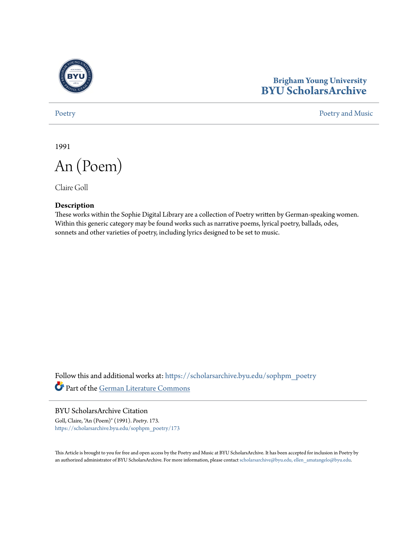

## **Brigham Young University [BYU ScholarsArchive](https://scholarsarchive.byu.edu?utm_source=scholarsarchive.byu.edu%2Fsophpm_poetry%2F173&utm_medium=PDF&utm_campaign=PDFCoverPages)**

[Poetry](https://scholarsarchive.byu.edu/sophpm_poetry?utm_source=scholarsarchive.byu.edu%2Fsophpm_poetry%2F173&utm_medium=PDF&utm_campaign=PDFCoverPages) and Music [Poetry and Music](https://scholarsarchive.byu.edu/sophpm?utm_source=scholarsarchive.byu.edu%2Fsophpm_poetry%2F173&utm_medium=PDF&utm_campaign=PDFCoverPages) Poetry and Music Poetry and Music Poetry and Music Poetry and Music Poetry and Music Poetry and Music Poetry and Music Poetry and Music Poetry and Music Poetry and Music Poetry and Music P

1991

An (Poem)

Claire Goll

## **Description**

These works within the Sophie Digital Library are a collection of Poetry written by German-speaking women. Within this generic category may be found works such as narrative poems, lyrical poetry, ballads, odes, sonnets and other varieties of poetry, including lyrics designed to be set to music.

Follow this and additional works at: [https://scholarsarchive.byu.edu/sophpm\\_poetry](https://scholarsarchive.byu.edu/sophpm_poetry?utm_source=scholarsarchive.byu.edu%2Fsophpm_poetry%2F173&utm_medium=PDF&utm_campaign=PDFCoverPages) Part of the [German Literature Commons](http://network.bepress.com/hgg/discipline/469?utm_source=scholarsarchive.byu.edu%2Fsophpm_poetry%2F173&utm_medium=PDF&utm_campaign=PDFCoverPages)

BYU ScholarsArchive Citation Goll, Claire, "An (Poem)" (1991). *Poetry*. 173. [https://scholarsarchive.byu.edu/sophpm\\_poetry/173](https://scholarsarchive.byu.edu/sophpm_poetry/173?utm_source=scholarsarchive.byu.edu%2Fsophpm_poetry%2F173&utm_medium=PDF&utm_campaign=PDFCoverPages)

This Article is brought to you for free and open access by the Poetry and Music at BYU ScholarsArchive. It has been accepted for inclusion in Poetry by an authorized administrator of BYU ScholarsArchive. For more information, please contact [scholarsarchive@byu.edu, ellen\\_amatangelo@byu.edu](mailto:scholarsarchive@byu.edu,%20ellen_amatangelo@byu.edu).